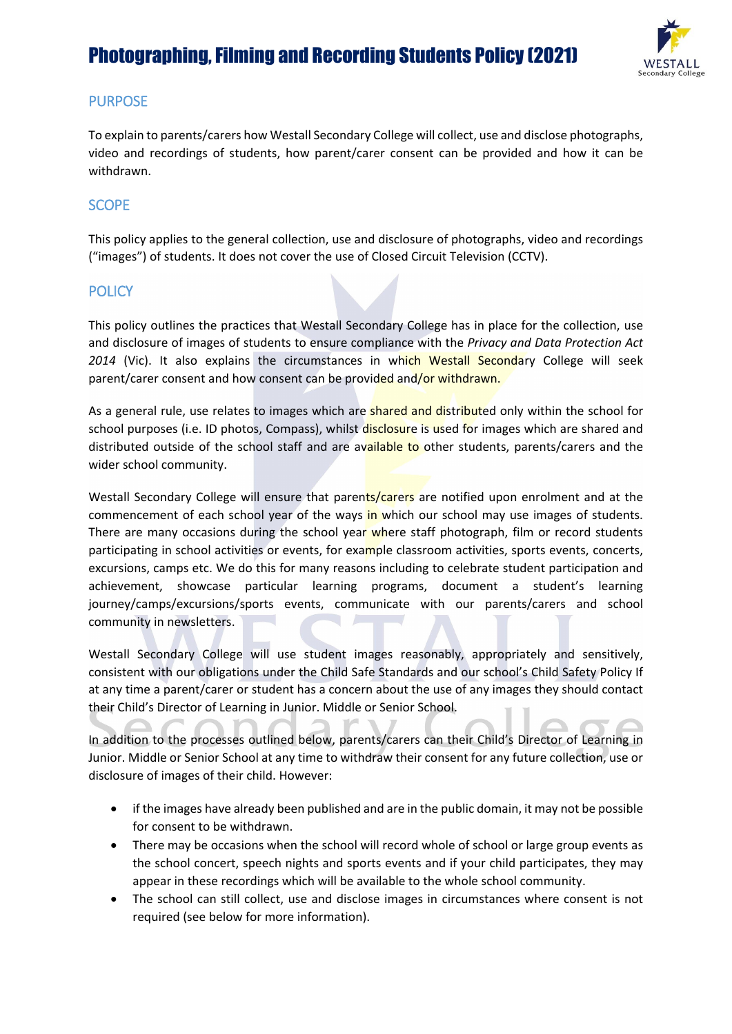

## PURPOSE

To explain to parents/carers how Westall Secondary College will collect, use and disclose photographs, video and recordings of students, how parent/carer consent can be provided and how it can be withdrawn.

## **SCOPE**

This policy applies to the general collection, use and disclosure of photographs, video and recordings ("images") of students. It does not cover the use of Closed Circuit Television (CCTV).

#### **POLICY**

This policy outlines the practices that Westall Secondary College has in place for the collection, use and disclosure of images of students to ensure compliance with the *Privacy and Data Protection Act 2014* (Vic). It also explains the circumstances in which Westall Secondary College will seek parent/carer consent and how consent can be provided and/or withdrawn.

As a general rule, use relates to images which are shared and distributed only within the school for school purposes (i.e. ID photos, Compass), whilst disclosure is used for images which are shared and distributed outside of the school staff and are available to other students, parents/carers and the wider school community.

Westall Secondary College will ensure that parents/carers are notified upon enrolment and at the commencement of each school year of the ways in which our school may use images of students. There are many occasions during the school year where staff photograph, film or record students participating in school activities or events, for example classroom activities, sports events, concerts, excursions, camps etc. We do this for many reasons including to celebrate student participation and achievement, showcase particular learning programs, document a student's learning journey/camps/excursions/sports events, communicate with our parents/carers and school community in newsletters.

Westall Secondary College will use student images reasonably, appropriately and sensitively, consistent with our obligations under the Child Safe Standards and our school's Child Safety Policy If at any time a parent/carer or student has a concern about the use of any images they should contact their Child's Director of Learning in Junior. Middle or Senior School.

In addition to the processes outlined below, parents/carers can their Child's Director of Learning in Junior. Middle or Senior School at any time to withdraw their consent for any future collection, use or disclosure of images of their child. However:

- if the images have already been published and are in the public domain, it may not be possible for consent to be withdrawn.
- There may be occasions when the school will record whole of school or large group events as the school concert, speech nights and sports events and if your child participates, they may appear in these recordings which will be available to the whole school community.
- The school can still collect, use and disclose images in circumstances where consent is not required (see below for more information).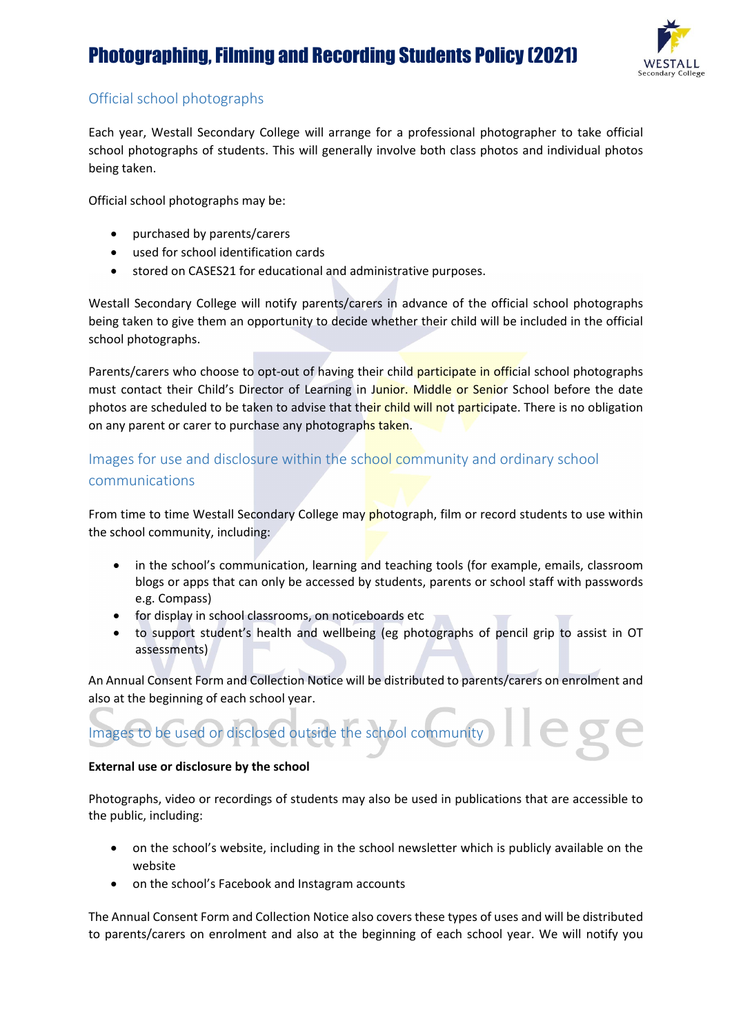

# Official school photographs

Each year, Westall Secondary College will arrange for a professional photographer to take official school photographs of students. This will generally involve both class photos and individual photos being taken.

Official school photographs may be:

- purchased by parents/carers
- used for school identification cards
- stored on CASES21 for educational and administrative purposes.

Westall Secondary College will notify parents/carers in advance of the official school photographs being taken to give them an opportunity to decide whether their child will be included in the official school photographs.

Parents/carers who choose to opt-out of having their child participate in official school photographs must contact their Child's Director of Learning in Junior. Middle or Senior School before the date photos are scheduled to be taken to advise that their child will not participate. There is no obligation on any parent or carer to purchase any photographs taken.

# Images for use and disclosure within the school community and ordinary school communications

From time to time Westall Secondary College may photograph, film or record students to use within the school community, including:

- in the school's communication, learning and teaching tools (for example, emails, classroom blogs or apps that can only be accessed by students, parents or school staff with passwords e.g. Compass)
- for display in school classrooms, on noticeboards etc
- to support student's health and wellbeing (eg photographs of pencil grip to assist in OT assessments)

An Annual Consent Form and Collection Notice will be distributed to parents/carers on enrolment and also at the beginning of each school year.



#### **External use or disclosure by the school**

Photographs, video or recordings of students may also be used in publications that are accessible to the public, including:

- on the school's website, including in the school newsletter which is publicly available on the website
- on the school's Facebook and Instagram accounts

The Annual Consent Form and Collection Notice also covers these types of uses and will be distributed to parents/carers on enrolment and also at the beginning of each school year. We will notify you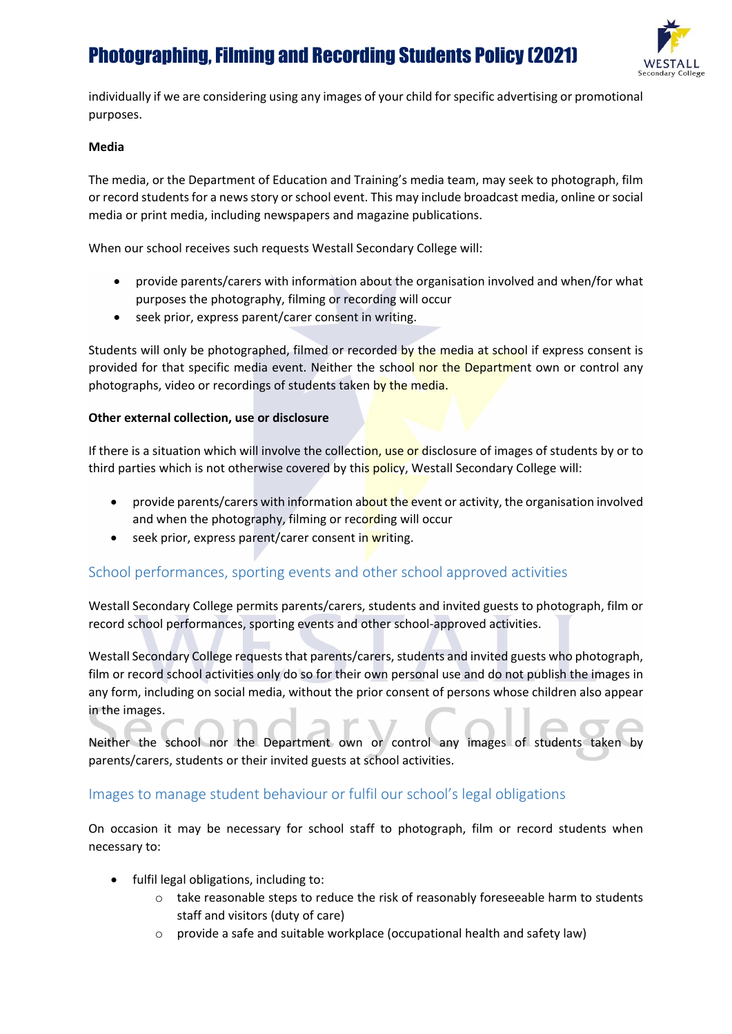

individually if we are considering using any images of your child for specific advertising or promotional purposes.

#### **Media**

The media, or the Department of Education and Training's media team, may seek to photograph, film or record students for a news story or school event. This may include broadcast media, online or social media or print media, including newspapers and magazine publications.

When our school receives such requests Westall Secondary College will:

- provide parents/carers with information about the organisation involved and when/for what purposes the photography, filming or recording will occur
- seek prior, express parent/carer consent in writing.

Students will only be photographed, filmed or recorded by the media at school if express consent is provided for that specific media event. Neither the school nor the Department own or control any photographs, video or recordings of students taken by the media.

#### **Other external collection, use or disclosure**

If there is a situation which will involve the collection, use or disclosure of images of students by or to third parties which is not otherwise covered by this policy, Westall Secondary College will:

- provide parents/carers with information about the event or activity, the organisation involved and when the photography, filming or recording will occur
- seek prior, express parent/carer consent in writing.

# School performances, sporting events and other school approved activities

Westall Secondary College permits parents/carers, students and invited guests to photograph, film or record school performances, sporting events and other school-approved activities.

Westall Secondary College requests that parents/carers, students and invited guests who photograph, film or record school activities only do so for their own personal use and do not publish the images in any form, including on social media, without the prior consent of persons whose children also appear in the images.

Neither the school nor the Department own or control any images of students taken by parents/carers, students or their invited guests at school activities.

## Images to manage student behaviour or fulfil our school's legal obligations

On occasion it may be necessary for school staff to photograph, film or record students when necessary to:

- fulfil legal obligations, including to:
	- o take reasonable steps to reduce the risk of reasonably foreseeable harm to students staff and visitors (duty of care)
	- o provide a safe and suitable workplace (occupational health and safety law)